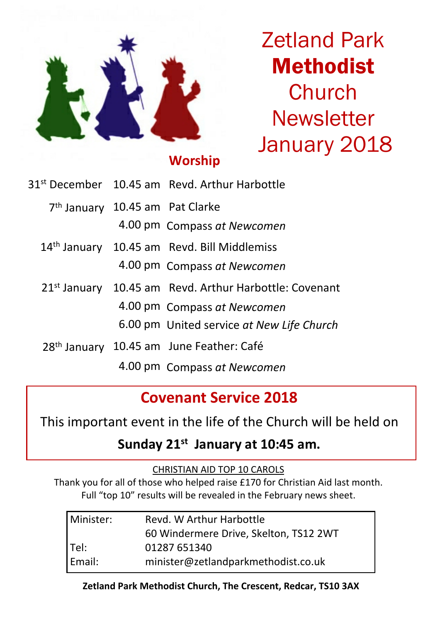

# Zetland Park Methodist Church **Newsletter** January 2018

## **Worship**

|                                             | 31 <sup>st</sup> December 10.45 am Revd. Arthur Harbottle          |
|---------------------------------------------|--------------------------------------------------------------------|
| 7 <sup>th</sup> January 10.45 am Pat Clarke |                                                                    |
|                                             | 4.00 pm Compass at Newcomen                                        |
|                                             | 14 <sup>th</sup> January 10.45 am Revd. Bill Middlemiss            |
|                                             | 4.00 pm Compass at Newcomen                                        |
|                                             | 21 <sup>st</sup> January 10.45 am Revd. Arthur Harbottle: Covenant |
|                                             | 4.00 pm Compass at Newcomen                                        |
|                                             | 6.00 pm United service at New Life Church                          |
|                                             | 28th January 10.45 am June Feather: Café                           |
|                                             | 4.00 pm Compass at Newcomen                                        |

## **Covenant Service 2018**

This important event in the life of the Church will be held on

## **Sunday 21st January at 10:45 am.**

CHRISTIAN AID TOP 10 CAROLS

Thank you for all of those who helped raise £170 for Christian Aid last month. Full "top 10" results will be revealed in the February news sheet.

| l Minister: | Revd. W Arthur Harbottle               |
|-------------|----------------------------------------|
|             | 60 Windermere Drive, Skelton, TS12 2WT |
| Tel:        | 01287 651340                           |
| Email:      | minister@zetlandparkmethodist.co.uk    |

#### **Zetland Park Methodist Church, The Crescent, Redcar, TS10 3AX**